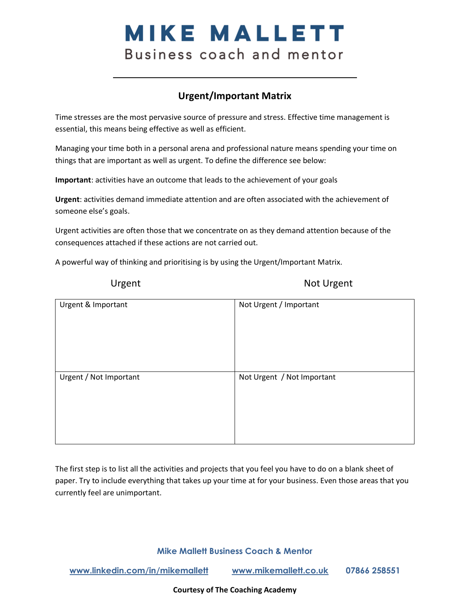# **MIKE MALLETT** Business coach and mentor

# **Urgent/Important Matrix**

Time stresses are the most pervasive source of pressure and stress. Effective time management is essential, this means being effective as well as efficient.

Managing your time both in a personal arena and professional nature means spending your time on things that are important as well as urgent. To define the difference see below:

**Important**: activities have an outcome that leads to the achievement of your goals

**Urgent**: activities demand immediate attention and are often associated with the achievement of someone else's goals.

Urgent activities are often those that we concentrate on as they demand attention because of the consequences attached if these actions are not carried out.

A powerful way of thinking and prioritising is by using the Urgent/Important Matrix.

Urgent Not Urgent

| Urgent & Important     | Not Urgent / Important     |
|------------------------|----------------------------|
| Urgent / Not Important | Not Urgent / Not Important |

The first step is to list all the activities and projects that you feel you have to do on a blank sheet of paper. Try to include everything that takes up your time at for your business. Even those areas that you currently feel are unimportant.

**Mike Mallett Business Coach & Mentor**

**[www.linkedin.com/in/mikemallett](https://eur01.safelinks.protection.outlook.com/?url=https%3A%2F%2Fprotect-eu.mimecast.com%2Fs%2F2VlUCBP3gI76Rri1C1JB&data=04%7C01%7Cadam.herbert%40herbertandwebster.co.uk%7C9b42b857c72b452ed17f08d8b7ca90c8%7Ccf5d07ab89314a22819ce2cd9bd76af5%7C0%7C0%7C637461427927239381%7CUnknown%7CTWFpbGZsb3d8eyJWIjoiMC4wLjAwMDAiLCJQIjoiV2luMzIiLCJBTiI6Ik1haWwiLCJXVCI6Mn0%3D%7C1000&sdata=4zBu8jqCXBbNeSt8Cvrz04wBgqtuNeb%2F0oEbBCyaX8s%3D&reserved=0) [www.mikemallett.co.uk](http://www.mikemallett.co.uk/) 07866 258551**